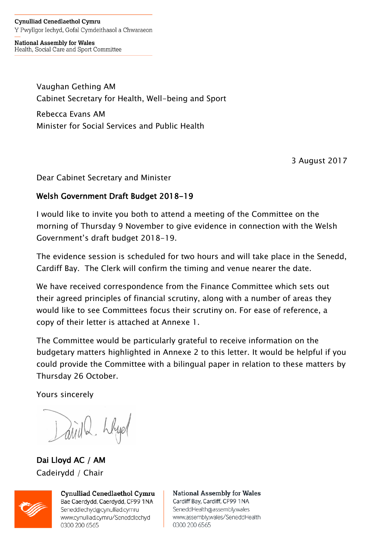**Cynulliad Cenedlaethol Cymru** Y Pwyllgor Iechyd, Gofal Cymdeithasol a Chwaraeon

**National Assembly for Wales** Health, Social Care and Sport Committee

> Vaughan Gething AM Cabinet Secretary for Health, Well-being and Sport

Rebecca Evans AM Minister for Social Services and Public Health

3 August 2017

Dear Cabinet Secretary and Minister

### Welsh Government Draft Budget 2018-19

I would like to invite you both to attend a meeting of the Committee on the morning of Thursday 9 November to give evidence in connection with the Welsh Government's draft budget 2018-19.

The evidence session is scheduled for two hours and will take place in the Senedd, Cardiff Bay. The Clerk will confirm the timing and venue nearer the date.

We have received correspondence from the Finance Committee which sets out their agreed principles of financial scrutiny, along with a number of areas they would like to see Committees focus their scrutiny on. For ease of reference, a copy of their letter is attached at Annexe 1.

The Committee would be particularly grateful to receive information on the budgetary matters highlighted in Annexe 2 to this letter. It would be helpful if you could provide the Committee with a bilingual paper in relation to these matters by Thursday 26 October.

Yours sincerely

Larid 2 Llyd

Dai Lloyd AC / AM Cadeirydd / Chair



**Cynulliad Cenedlaethol Cymru** Bae Caerdydd, Caerdydd, CF99 1NA Seneddlechyd@cynulliad.cymru www.cynulliad.cymru/Seneddlechyd 0300 200 6565

**National Assembly for Wales** Cardiff Bay, Cardiff, CF99 1NA SeneddHealth@assembly.wales www.assembly.wales/SeneddHealth 0300 200 6565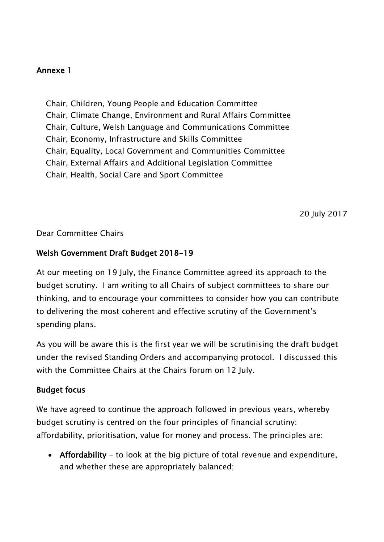### Annexe 1

Chair, Children, Young People and Education Committee Chair, Climate Change, Environment and Rural Affairs Committee Chair, Culture, Welsh Language and Communications Committee Chair, Economy, Infrastructure and Skills Committee Chair, Equality, Local Government and Communities Committee Chair, External Affairs and Additional Legislation Committee Chair, Health, Social Care and Sport Committee

20 July 2017

#### Dear Committee Chairs

### Welsh Government Draft Budget 2018-19

At our meeting on 19 July, the Finance Committee agreed its approach to the budget scrutiny. I am writing to all Chairs of subject committees to share our thinking, and to encourage your committees to consider how you can contribute to delivering the most coherent and effective scrutiny of the Government's spending plans.

As you will be aware this is the first year we will be scrutinising the draft budget under the revised Standing Orders and accompanying protocol. I discussed this with the Committee Chairs at the Chairs forum on 12 July.

### Budget focus

We have agreed to continue the approach followed in previous years, whereby budget scrutiny is centred on the four principles of financial scrutiny: affordability, prioritisation, value for money and process. The principles are:

• Affordability - to look at the big picture of total revenue and expenditure, and whether these are appropriately balanced;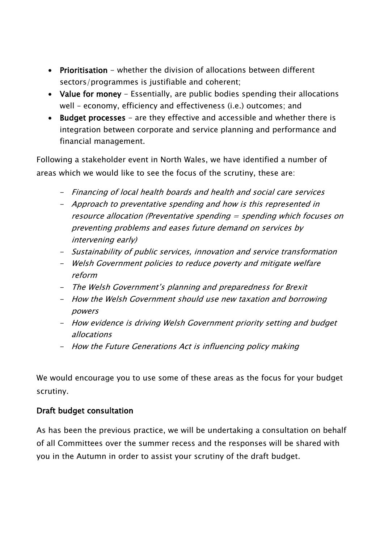- Prioritisation whether the division of allocations between different sectors/programmes is justifiable and coherent;
- Value for money Essentially, are public bodies spending their allocations well – economy, efficiency and effectiveness (i.e.) outcomes; and
- Budget processes are they effective and accessible and whether there is integration between corporate and service planning and performance and financial management.

Following a stakeholder event in North Wales, we have identified a number of areas which we would like to see the focus of the scrutiny, these are:

- Financing of local health boards and health and social care services
- Approach to preventative spending and how is this represented in resource allocation (Preventative spending = spending which focuses on preventing problems and eases future demand on services by intervening early)
- Sustainability of public services, innovation and service transformation
- Welsh Government policies to reduce poverty and mitigate welfare reform
- The Welsh Government's planning and preparedness for Brexit
- How the Welsh Government should use new taxation and borrowing powers
- How evidence is driving Welsh Government priority setting and budget allocations
- How the Future Generations Act is influencing policy making

We would encourage you to use some of these areas as the focus for your budget scrutiny.

### Draft budget consultation

As has been the previous practice, we will be undertaking a consultation on behalf of all Committees over the summer recess and the responses will be shared with you in the Autumn in order to assist your scrutiny of the draft budget.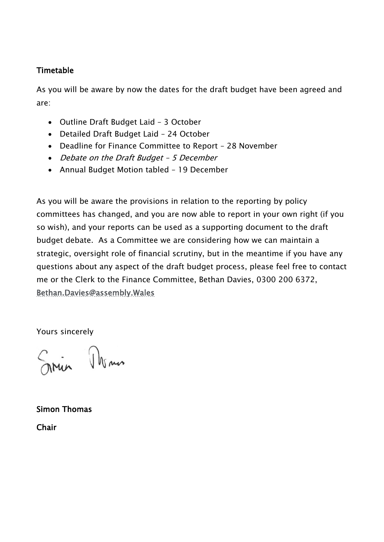# Timetable

As you will be aware by now the dates for the draft budget have been agreed and are:

- Outline Draft Budget Laid 3 October
- Detailed Draft Budget Laid 24 October
- Deadline for Finance Committee to Report 28 November
- Debate on the Draft Budget 5 December
- Annual Budget Motion tabled 19 December

As you will be aware the provisions in relation to the reporting by policy committees has changed, and you are now able to report in your own right (if you so wish), and your reports can be used as a supporting document to the draft budget debate. As a Committee we are considering how we can maintain a strategic, oversight role of financial scrutiny, but in the meantime if you have any questions about any aspect of the draft budget process, please feel free to contact me or the Clerk to the Finance Committee, Bethan Davies, 0300 200 6372, [Bethan.Davies@assembly.Wales](mailto:Bethan.Davies@assembly.Wales)

Yours sincerely

in Man

Simon Thomas **Chair**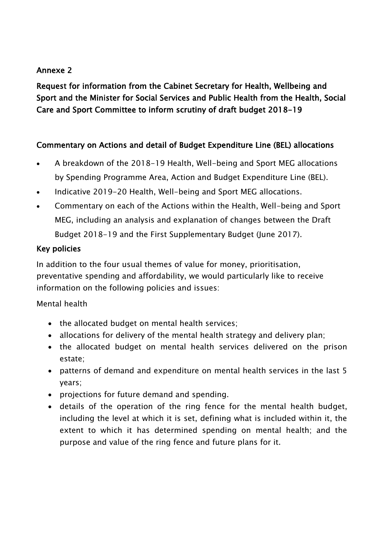### Annexe 2

Request for information from the Cabinet Secretary for Health, Wellbeing and Sport and the Minister for Social Services and Public Health from the Health, Social Care and Sport Committee to inform scrutiny of draft budget 2018-19

# Commentary on Actions and detail of Budget Expenditure Line (BEL) allocations

- A breakdown of the 2018-19 Health, Well-being and Sport MEG allocations by Spending Programme Area, Action and Budget Expenditure Line (BEL).
- Indicative 2019-20 Health, Well-being and Sport MEG allocations.
- Commentary on each of the Actions within the Health, Well-being and Sport MEG, including an analysis and explanation of changes between the Draft Budget 2018-19 and the First Supplementary Budget (June 2017).

# Key policies

In addition to the four usual themes of value for money, prioritisation, preventative spending and affordability, we would particularly like to receive information on the following policies and issues:

# Mental health

- the allocated budget on mental health services;
- allocations for delivery of the mental health strategy and delivery plan;
- the allocated budget on mental health services delivered on the prison estate;
- patterns of demand and expenditure on mental health services in the last 5 years;
- projections for future demand and spending.
- details of the operation of the ring fence for the mental health budget, including the level at which it is set, defining what is included within it, the extent to which it has determined spending on mental health; and the purpose and value of the ring fence and future plans for it.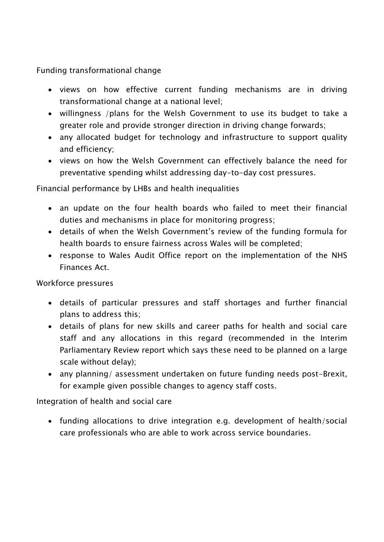Funding transformational change

- views on how effective current funding mechanisms are in driving transformational change at a national level;
- willingness /plans for the Welsh Government to use its budget to take a greater role and provide stronger direction in driving change forwards;
- any allocated budget for technology and infrastructure to support quality and efficiency;
- views on how the Welsh Government can effectively balance the need for preventative spending whilst addressing day-to-day cost pressures.

Financial performance by LHBs and health inequalities

- an update on the four health boards who failed to meet their financial duties and mechanisms in place for monitoring progress;
- details of when the Welsh Government's review of the funding formula for health boards to ensure fairness across Wales will be completed;
- response to Wales Audit Office report on the implementation of the NHS Finances Act.

Workforce pressures

- details of particular pressures and staff shortages and further financial plans to address this;
- details of plans for new skills and career paths for health and social care staff and any allocations in this regard (recommended in the Interim Parliamentary Review report which says these need to be planned on a large scale without delay);
- any planning/ assessment undertaken on future funding needs post-Brexit, for example given possible changes to agency staff costs.

Integration of health and social care

 funding allocations to drive integration e.g. development of health/social care professionals who are able to work across service boundaries.